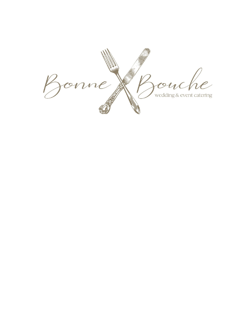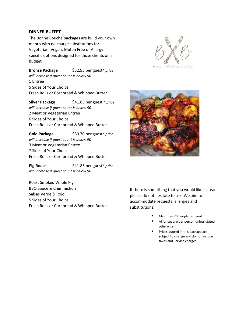#### **DINNER BUFFET**

The Bonne Bouche packages are build your own menus with no charge substitutions for Vegetarian, Vegan, Gluten Free or Allergy specific options designed for those clients on a budget.

**Bronze Package** \$32.95 per guest*\* price will increase if guest count is below 90* 1 Entree 5 Sides of Your Choice Fresh Rolls or Cornbread & Whipped Butter

**Silver Package** \$41.85 per guest *\* price will increase if guest count is below 90* 2 Meat or Vegetarian Entree 6 Sides of Your Choice Fresh Rolls or Cornbread & Whipped Butter

**Gold Package** \$50.70 per guest*\* price will increase if guest count is below 90* 3 Meat or Vegetarian Entree 7 Sides of Your Choice Fresh Rolls or Cornbread & Whipped Butter

Pig Roast  $$41.85$  per guest\* price *will increase if guest count is below 90*

Roast Smoked Whole Pig BBQ Sauce & Chimmichurri Salsas Verde & Rojo 5 Sides of Your Choice Fresh Rolls or Cornbread & Whipped Butter





If there is something that you would like instead please do not hesitate to ask. We aim to accommodate requests, allergies and substitutions.

- Minimum 20 people required
- All prices are per person unless stated otherwise
- Prices quoted in this package are subject to change and do not include taxes and Service charges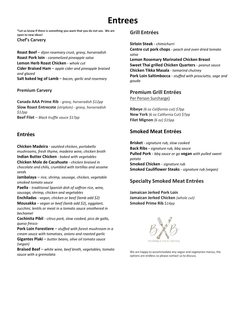# **Entrees**

**\*Let us know if there is something you want that you do not see. We are open to new ideas! Chef's Carvery**

**Roast Beef** – *dijon rosemary crust, gravy, horseradish* **Roast Pork loin** *- caramelized pineapple salsa* **Lemon Herb Roast Chicken** - *whole cut* **Cider Braised Ham** – *apple cider and pineapple braised and glazed* **Salt baked leg of Lamb** – *bacon, garlic and rosemary*

### **Premium Carvery**

**Canada AAA Prime Rib** - *gravy, horseradish \$12pp* **Slow Roast Entrecote** *(striploin) - gravy, horseradish \$12pp* **Beef Filet** *– Black truffle sauce \$17pp*

### **Entrées**

**Chicken Madeira** *- sautéed chicken, portabello mushrooms, fresh thyme, madeira wine, chicken broth* **Indian Butter Chicken** *- baked with vegetables*

**Chicken Mole de Cacahuate** *- chicken braised in chocolate and chilis, crumbled with tortillas and sesame seeds* 

**Jambalaya** – *rice, shrimp, sausage, chicken, vegetable smoked tomato sauce*

**Paella** *- traditional Spanish dish of saffron rice, wine, sausage, shrimp, chicken and vegetables*

**Enchiladas** - *vegan, chicken or beef (lamb add \$2)* **Mousakka** – *vegan or beef (lamb add \$2)*, *eggplant, zucchini, lentils or meat in a tomato sauce smothered in bechamel*

**Cochinita Pibil** - *citrus pork, slow cooked, pico de gallo, queso fresco*

**Pork Loin Forestiere** – *stuffed with forest mushroom in a cream sauce with tomatoes, onions and roasted garlic* **Gigantes Plaki** – *butter beans, olive oil tomato sauce (vegan)*

**Braised Beef** – *white wine, beef broth, vegetables, tomato sauce with a gremolata*

### **Grill Entrées**

**Sirloin Steak** *- chimichurri*

**Centre cut pork chops** *- peach and oven dried tomato salsa* 

**Lemon Rosemary Marinated Chicken Breast Sweet Thai grilled Chicken Quarters** - *peanut sauce* **Chicken Tikka Masala** *- tamarind chutney* **Pork Loin Saltimbocca** - *stuffed with prosciutto, sage and gouda*

### **Premium Grill Entrées**

Per Person Surcharge)

**Ribeye** *(6 oz California cut) \$7pp* **New York** (6 oz California Cut) \$7pp **Filet Mignon** *(6 oz) \$15pp*

### **Smoked Meat Entrées**

**Brisket** *- signature rub, slow cooked* **Back Ribs -** *signature rub, bbq sauce* **Pulled Pork** - *bbq sauce or go* **vegan** *with pulled sweet potato* **Smoked Chicken** - *signature rub* **Smoked Cauliflower Steaks** - *signature rub (vegan)*

## **Specialty Smoked Meat Entrées**

**Jamaican Jerked Pork Loin Jamaican Jerked Chicken** *(whole cut)* **Smoked Prime Rib** \$*14pp*



We are happy to accommodate any vegan and vegetarian menus, the options are endless so please contact us to discuss.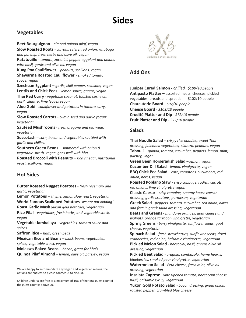# **Sides**

### **Vegetables**

**Beet Bourguignon** - *almond quinoa pilaf, vegan* **Slow Roasted Roots** - *carrots, celery, red onion, rutabaga and parsnip, fresh herbs and olive oil, vegan* **Ratatouille** *- tomato, zucchini, pepper eggplant and onions with basil, garlic and olive oil, vegan*  **Kung Poa Cauliflower** *– peanuts, scallions, vegan* **Shawarma Roasted Cauliflower** - *smoked tomato sauce, vegan* **Szechuan Eggplant** – *garlic, chili pepper, scallions, vegan* **Lentils and Chick Peas** – *lemon sauce, greens, vegan* **Thai Red Curry** - *vegetable coconut, toasted cashews, basil, cilantro, lime leaves vegan* **Aloo Gobi** *- cauliflower and potatoes in tomato curry, vegan* **Slow Roasted Carrots** - *cumin seed and garlic yogurt vegetarian* **Sautéed Mushrooms** - *fresh oregano and red wine, vegetarian*  **Succotash** – *corn, bacon and vegetables sautéed with garlic and chilies.*  **Southern Green Beans** *– simmered with onion & vegetable broth, vegan goes well with bbq*  **Roasted Broccoli with Peanuts –** *rice vinegar, nutritional yeast, scallions, vegan*

## **Hot Sides**

**Butter Roasted Nugget Potatoes** - *fresh rosemary and garlic, vegetarian*

**Lemon Potatoes** – *thyme, lemon slow roast, vegetarian* **World Famous Scalloped Potatoes**- *we are not kidding!* **Roast Garlic Mash** *yukon gold potatoes, vegetarian* **Rice Pilaf** *- vegetables, fresh herbs, and vegetable stock, vegan*

**Vegetable Jambalaya** - *vegetables, tomato sauce and spices* 

**Saffron Rice** *– ham, green peas*

**Mexican Rice and Beans** *– black beans, vegetables, spices, vegetable stock, vegan*

**Molasses Baked Beans** *– bacon, great for bbq's* **Quinoa Pilaf Almond** *– lemon, olive oil, parsley, vegan* 

We are happy to accommodate any vegan and vegetarian menus, the options are endless so please contact us to discuss.

Children under 8 are free to a maximum of 10% of the total guest count if the guest count is above 90.



## **Add Ons**

**Juniper Cured Salmon -** *chilled**\$100/10 people* **Antipasto Platter –** assorted meats, cheeses, pickled vegetables, breads and spreads \$102/10 people **Charcuterie Board** - *\$92/10 people* **Cheese Board** - *\$108/10 people* **Crudité Platter and Dip** *- \$72/10 people* **Fruit Platter and Dip** *- \$72/10 people*

### **Salads**

**Thai Noodle Salad** *– crispy rice noodles, sweet Thai dressing, julienned vegetables, cilantro, peanuts, vegan*  **Tabouli** – *quinoa, tomato, cucumber, peppers, lemon, mint, parsley, vegan* **Green Been Horseradish Salad** *– lemon, vegan* **Cucumber Dill Salad** - *lemon, vinaigrette, vegan* **BBQ Chick Pea Salad** *– corn, tomatoes, cucumbers, red onion, herbs, vegan* **Roasted Poblano Slaw** - *crisp cabbage, radish, carrots, red onions, lime vinaigrette vegan* **Classic Caesar** - *crisp romaine, creamy house caesar dressing, garlic croutons, parmesan, vegetarian* **Greek Salad** *- peppers, tomato, cucumber, red onion, olives and feta in greek salad dressing, vegetarian* **Beets and Greens** *- mandarin oranges, goat cheese and walnuts, orange tarragon vinaigrette, vegetarian* **Spring Greens** *- berry vinaigrette, sunflower seeds, goat cheese, vegetarian*  **Spinach Salad** *- fresh strawberries, sunflower seeds, dried cranberries, red onion, balsamic vinaigrette, vegetarian* **Pickled Melon Salad** *- boccocini, basil, greens olive oil dressing, vegetarian* **Pickled Beet Salad** *- arugula, cambazola, hemp hearts, blueberries, smoked pear vinaigrette, vegetarian* **Watermelon Salad** *- Feta cheese, fresh mint, olive oil dressing, vegetarian* **Insalata Caprese** *- vine ripened tomato, boccoccini cheese, basil, balsamic syrup, vegetarian* **Yukon Gold Potato Salad** *- bacon dressing, green onion, roasted pepper, crumbled blue cheese*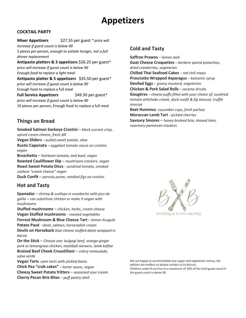# **Appetizers**

### **COCKTAIL PARTY**

**Mixer Appetizers** \$27.55 per guest *\* price will increase if guest count is below 90 5 pieces per person, enough to satiate hunger, not a full dinner replacement* **Antipasto platters & 3 appetizers** \$26.25 per guest*\* price will increase if guest count is below 90 Enough food to replace a light meal* **Antipasto platter & 5 appetizers** \$35.50 per guest*\** 

*price will increase if guest count is below 90* Enough food to replace a full meal **Full Service Appetizers** \$49.50 per guest\*

*price will increase if guest count is below 90* 10 pieces per person, Enough food to replace a full meal

### **Things on Bread**

**Smoked Salmon Sockeye Crostini** – *black currant crisp, spiced cream cheese, fresh dill* **Vegan Sliders** *– pulled sweet potato, slaw* **Rustic Caponata** *– eggplant tomato sauce on crostini, vegan* **Bruschetta** – *heirloom tomato, and basil, vegan* **Roasted Cauliflower Dip** – *mushroom crackers, vegan* **Roast Sweet Potato Discs** - *sundried tomato, smoked cashew "cream cheese" vegan* **Duck Confit** – *parsnip puree, candied figs on crostini*

### **Hot and Tasty**

**Epanadas** – *shrimp & scallops in escabeche with pico de gallio – can substitute chicken or make it vegan with mushrooms*

**Stuffed mushrooms** – *chicken, herbs, cream cheese* **Vegan Stuffed mushrooms** *- roasted vegetables* **Forrest Mushroom & Blue Cheese Tart** *– lemon Arugula* **Potato Pavé** –*beet, salmon, horseradish cream*

**Devils on Horseback** *blue cheese stuffed dates wrapped in bacon*

**On the Stick** – *Choose one: bulgogi beef, orange ginger pork or lemongrass chicken, meatball skewers, lamb keftke* **Braised Beef Cheek Croustillant** – *celery remoulade, salsa verde*

**Vegan Tarts -***yam tarts with pickled beets* **Chick Pea "crab cakes"** *– tartar sauce, vegan* **Cheesy Sweet Potato fritters** – *seasoned sour cream* **Cherry Pecan Brie Bites** *– puff pastry shell*

### **Cold and Tasty**

**Saffron Prawns** *– lemon aioli* **Goat Cheese Croquettes** *– berbere spiced pistachios, dried cranberries, vegetarian* **Chilled Thai Seafood Cakes** *– red chili mayo* **Prosciutto Wrapped Asparagus** *– balsamic syrup* **Deviled Eggs** *– grainy mustard, vegetarian* **Chicken & Pork Salad Rolls** – sesame drizzle **Gougères** *– cheese puffs filled with your choice of: sundried tomato artichoke cream, duck confit & fig mousse, truffle mousse* **Beet Hummus** *-cucumber cups, fresh parlsey* **Moroccan Lamb Tart** *- pickled cherries*

**Savoury Smores** – *honey bruleed brie, shaved ham, rosemary parmesan crackers*



We are happy to accommodate any vegan and vegetarian menus, the options are endless so please contact us to discuss. Children under 8 are free to a maximum of 10% of the total guest count if the guest count is above 90.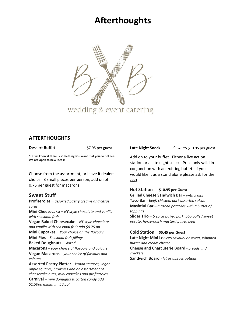# **Afterthoughts**



### **AFTERTHOUGHTS**

**Dessert Buffet** \$7.95 per guest

**\*Let us know if there is something you want that you do not see. We are open to new ideas!**

Choose from the assortment, or leave it dealers choice. 3 small pieces per person, add on of 0.75 per guest for macarons

## **Sweet Stuff**

*\$1.50pp minimum 50 ppl*

**Profiteroles** *– assorted pastry creams and citrus curds* **Mini Cheesecake** *– NY style chocolate and vanilla with seasonal fruit*  **Vegan Baked Cheesecake** *– NY style chocolate and vanilla with seasonal fruit add \$0.75 pp* **Mini Cupcakes** *– Your choice on the flavours* **Mini Pies** *– Seasonal fruit fillings* **Baked Doughnuts** - *Glazed* **Macarons** *– your choice of flavours and colours* **Vegan Macarons** *– your choice of flavours and colours* **Assorted Pastry Platter** *– lemon squares, vegan apple squares, brownies and an assortment of cheesecake bites, mini cupcakes and profiteroles* **Carnival** *– mini donughts & cotton candy add* 

Late Night Snack \$5.45 to \$10.95 per guest

Add on to your buffet. Either a live action station or a late night snack. Price only valid in conjunction with an existing buffet. If you would like it as a stand alone please ask for the cost

**Hot Station \$10.95 per Guest Grilled Cheese Sandwich Bar** *– with 5 dips*

**Taco Bar** *- beef, chicken, pork assorted salsas* **Mashtini Bar** *– mashed potatoes with a buffet of toppings* **Slider Trio** – *5 spice* pulled *pork, bbq pulled sweet* 

*potato, horseradish mustard pulled beef*

#### **Cold Station \$5.45 per Guest**

**Late Night Mini Loaves** *savoury or sweet, whipped butter and cream cheese* **Cheese and Charcuterie Board** *- breads and crackers* **Sandwich Board** *- let us discuss options*